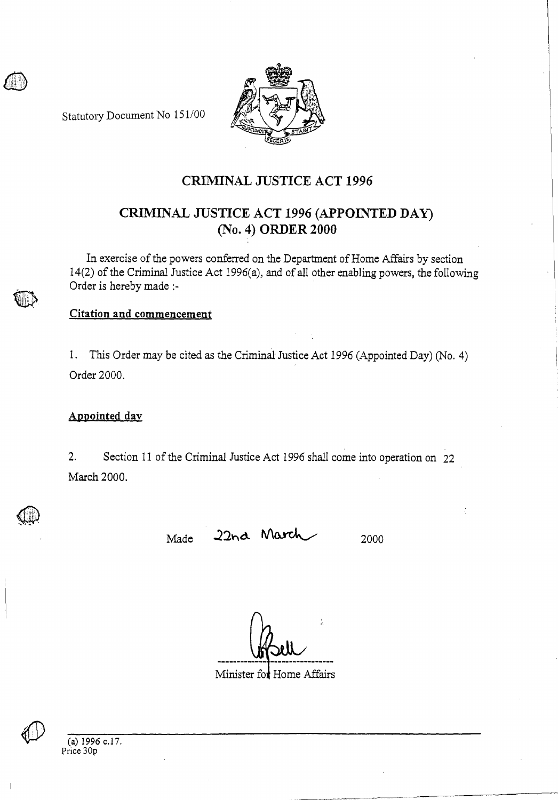Statutory Document No 151/00



## **CRIMINAL JUSTICE ACT 1996**

# **CRIMINAL JUSTICE ACT 1996 (APPOINTED DAY) (No. 4) ORDER 2000**

In exercise of the powers conferred on the Department of Home Affairs by section 14(2) of the Criminal Justice Act 1996(a), and of all other enabling powers, the following Order is hereby made :-

### **Citation and commencement**

1. This Order may be cited as the Criminal Justice Act 1996 (Appointed Day) (No. 4) Order 2000.

#### **Appointed day**

2. Section 11 of the Criminal Justice Act 1996 shall come into operation on 22 March 2000.

Made 22nd March 2000

Minister for Home Affairs



(a) 1996 c.17. Price 30p